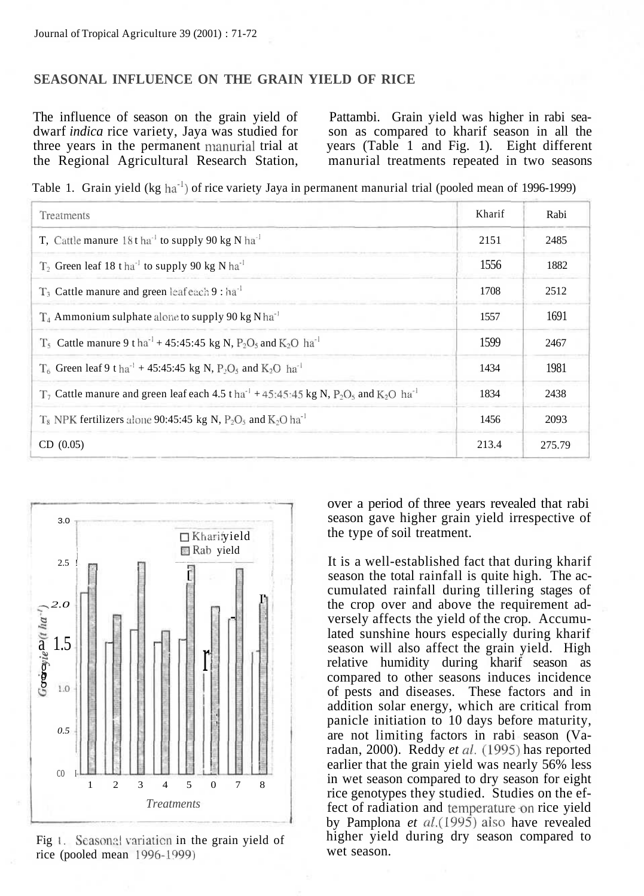## **SEASONAL INFLUENCE ON THE GRAIN YIELD OF RICE**

dwarf *indica* rice variety, Jaya was studied for son as compared to kharif season in all the three years in the permanent manorial trial at years (Table 1 and Fig. 1). Eight different the Regional Agricultural Research Station, manurial treatments repeated in two seasons

The influence of season on the grain yield of Pattambi. Grain yield was higher in rabi sea-

Table 1. Grain yield (kg ha<sup>-1</sup>) of rice variety Jaya in permanent manurial trial (pooled mean of 1996-1999)

| Treatments                                                                                                                                          | Kharif | Rabi   |
|-----------------------------------------------------------------------------------------------------------------------------------------------------|--------|--------|
| T. Cattle manure $18t$ ha <sup>1</sup> to supply 90 kg N ha <sup>1</sup>                                                                            | 2151   | 2485   |
| $T_2$ Green leaf 18 tha <sup>-1</sup> to supply 90 kg N ha <sup>-1</sup>                                                                            | 1556   | 1882   |
| $T_3$ Cattle manure and green leaf each 9 : ha <sup>1</sup>                                                                                         | 1708   | 2512   |
| $T_4$ Ammonium sulphate alone to supply 90 kg N ha <sup>-1</sup>                                                                                    | 1557   | 1691   |
| $T_5$ Cattle manure 9 t ha <sup>-1</sup> + 45:45:45 kg N, P <sub>2</sub> O <sub>5</sub> and K <sub>2</sub> O ha <sup>-1</sup>                       | 1599   | 2467   |
| $T_6$ Green leaf 9 t ha <sup>-1</sup> + 45:45:45 kg N, P <sub>2</sub> O <sub>5</sub> and K <sub>2</sub> O ha <sup>-1</sup>                          | 1434   | 1981   |
| $T_7$ Cattle manure and green leaf each 4.5 t ha <sup>-1</sup> + 45:45:45 kg N, P <sub>2</sub> O <sub>5</sub> and K <sub>2</sub> O ha <sup>-1</sup> | 1834   | 2438   |
| $T_8$ NPK fertilizers alone 90:45:45 kg N, P <sub>2</sub> O <sub>5</sub> and K <sub>2</sub> O ha <sup>-1</sup>                                      | 1456   | 2093   |
| CD (0.05)                                                                                                                                           | 213.4  | 275.79 |



Fig 1. Seasonal variation in the grain yield of rice (pooled mean 1996-1999)

over a period of three years revealed that rabi season gave higher grain yield irrespective of the type of soil treatment.

It is a well-established fact that during kharif season the total rainfall is quite high. The accumulated rainfall during tillering stages of the crop over and above the requirement adversely affects the yield of the crop. Accumulated sunshine hours especially during kharif season will also affect the grain yield. High relative humidity during kharif season as compared to other seasons induces incidence of pests and diseases. These factors and in addition solar energy, which are critical from panicle initiation to 10 days before maturity, are not limiting factors in rabi season (Varadan, 2000). Reddy *et al.* (1995) has reported earlier that the grain yield was nearly 56% less in wet season compared to dry season for eight rice genotypes they studied. Studies on the effect of radiation and temperature-on rice yield by Pamplona *et al.(l995)* also have revealed higher yield during dry season compared to wet season.